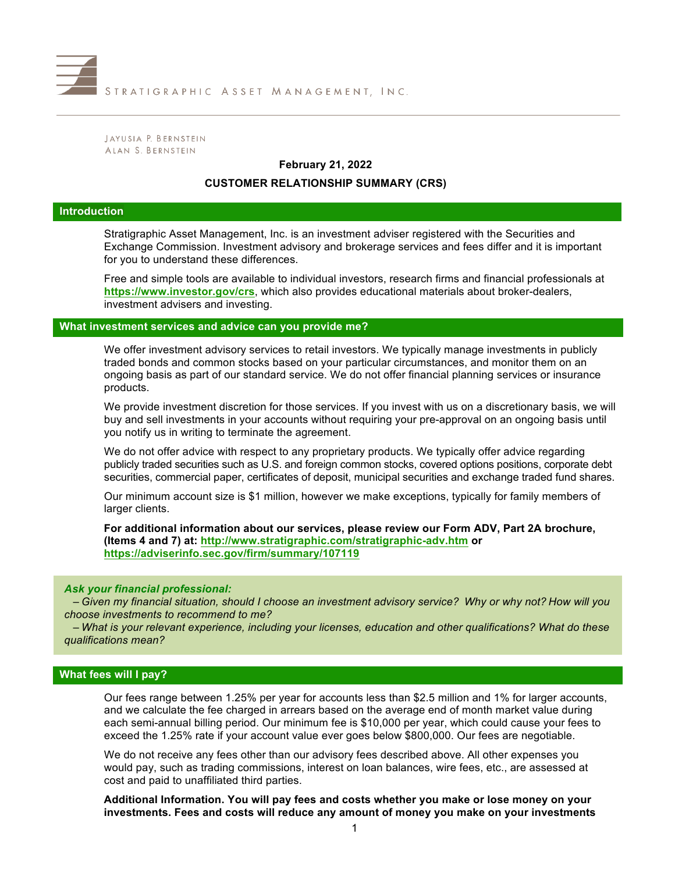

JAYUSIA P. BERNSTEIN ALAN S. BERNSTEIN

## **February 21, 2022**

#### **CUSTOMER RELATIONSHIP SUMMARY (CRS)**

#### **Introduction**

Stratigraphic Asset Management, Inc. is an investment adviser registered with the Securities and Exchange Commission. Investment advisory and brokerage services and fees differ and it is important for you to understand these differences.

Free and simple tools are available to individual investors, research firms and financial professionals at **https://www.investor.gov/crs**, which also provides educational materials about broker-dealers, investment advisers and investing.

**What investment services and advice can you provide me?**

We offer investment advisory services to retail investors. We typically manage investments in publicly traded bonds and common stocks based on your particular circumstances, and monitor them on an ongoing basis as part of our standard service. We do not offer financial planning services or insurance products.

We provide investment discretion for those services. If you invest with us on a discretionary basis, we will buy and sell investments in your accounts without requiring your pre-approval on an ongoing basis until you notify us in writing to terminate the agreement.

We do not offer advice with respect to any proprietary products. We typically offer advice regarding publicly traded securities such as U.S. and foreign common stocks, covered options positions, corporate debt securities, commercial paper, certificates of deposit, municipal securities and exchange traded fund shares.

Our minimum account size is \$1 million, however we make exceptions, typically for family members of larger clients.

**For additional information about our services, please review our Form ADV, Part 2A brochure, (Items 4 and 7) at: http://www.stratigraphic.com/stratigraphic-adv.htm or https://adviserinfo.sec.gov/firm/summary/107119**

### *Ask your financial professional:*

*– Given my financial situation, should I choose an investment advisory service? Why or why not? How will you choose investments to recommend to me?*

*– What is your relevant experience, including your licenses, education and other qualifications? What do these qualifications mean?*

### **What fees will I pay?**

Our fees range between 1.25% per year for accounts less than \$2.5 million and 1% for larger accounts, and we calculate the fee charged in arrears based on the average end of month market value during each semi-annual billing period. Our minimum fee is \$10,000 per year, which could cause your fees to exceed the 1.25% rate if your account value ever goes below \$800,000. Our fees are negotiable.

We do not receive any fees other than our advisory fees described above. All other expenses you would pay, such as trading commissions, interest on loan balances, wire fees, etc., are assessed at cost and paid to unaffiliated third parties.

**Additional Information. You will pay fees and costs whether you make or lose money on your investments. Fees and costs will reduce any amount of money you make on your investments**